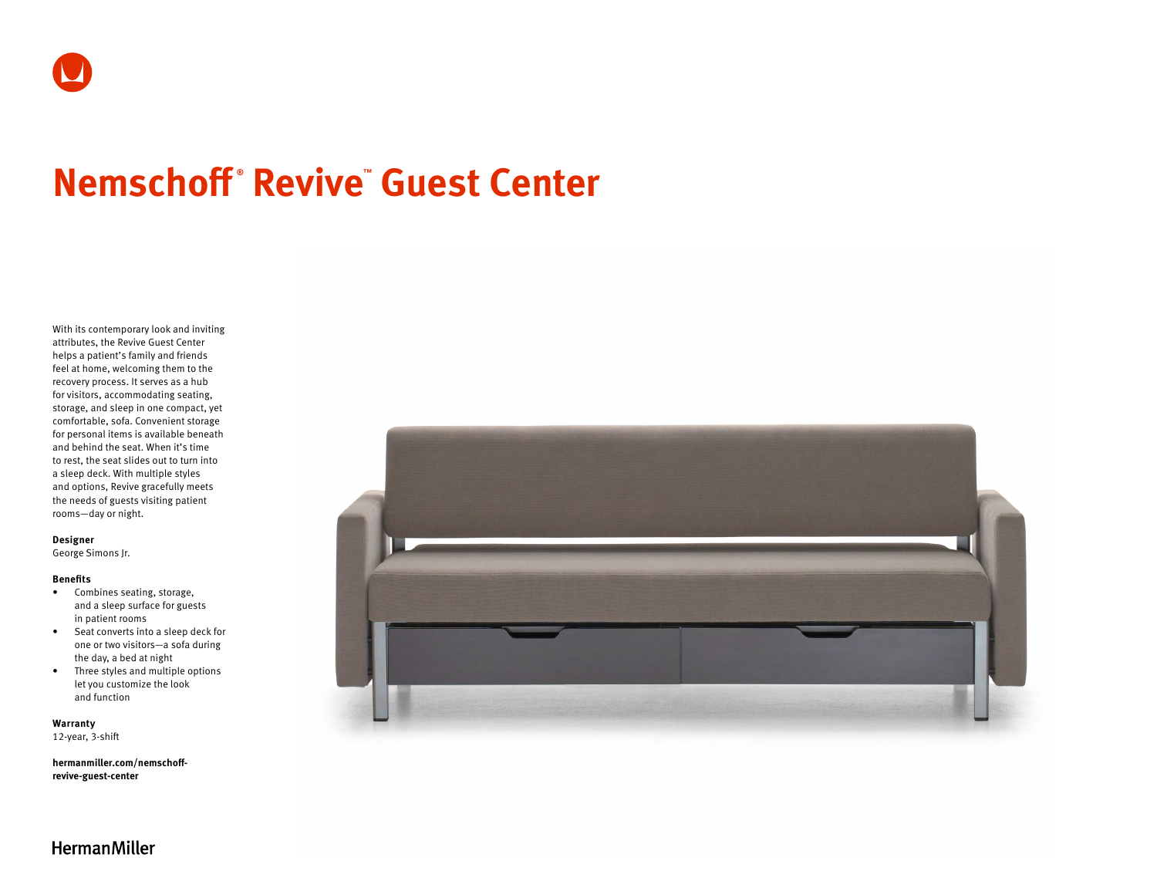# **Nemschoff ® Revive™ Guest Center**

With its contemporary look and inviting attributes, the Revive Guest Center helps a patient's family and friends feel at home, welcoming them to the recovery process. It serves as a hub for visitors, accommodating seating, storage, and sleep in one compact, yet comfortable, sofa. Convenient storage for personal items is available beneath and behind the seat. When it's time to rest, the seat slides out to turn into a sleep deck. With multiple styles and options, Revive gracefully meets the needs of guests visiting patient rooms—day or night.

#### **Designer**

George Simons Jr.

### **Benefits**

- Combines seating, storage, and a sleep surface for guests in patient rooms
- Seat converts into a sleep deck for one or two visitors—a sofa during the day, a bed at night
- Three styles and multiple options let you customize the look and function

**Warranty**  12-year, 3-shift

**[hermanmiller.com/nemschoff](http://hermanmiller.com/nemschoff-revive-guest-center)[revive-guest-center](http://hermanmiller.com/nemschoff-revive-guest-center)**



**HermanMiller**